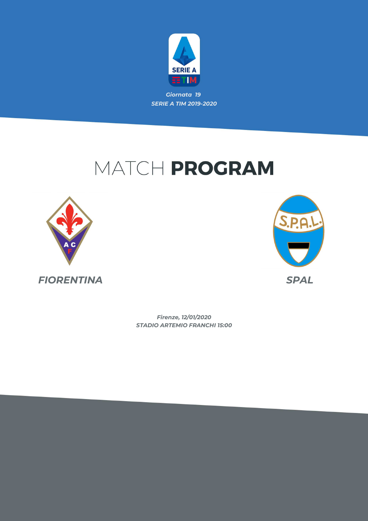

*Giornata 19 SERIE A TIM 2019-2020*

## MATCH PROGRAM





*STADIO ARTEMIO FRANCHI 15:00 Firenze, 12/01/2020*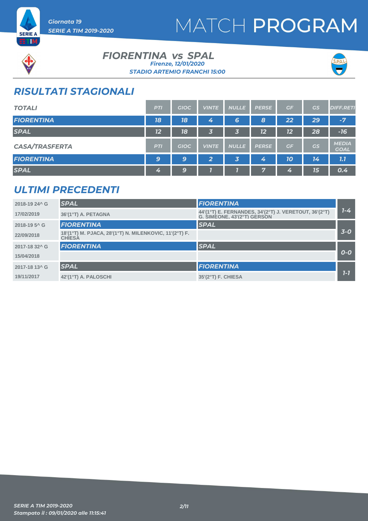



*Giornata 19 SERIE A TIM 2019-2020*

#### **FIORENTINA vs SPAL** *STADIO ARTEMIO FRANCHI 15:00 Firenze, 12/01/2020*



## *RISULTATI STAGIONALI*

| <b>TOTALI</b>         | <b>PTI</b> | <b>GIOC</b> | <b>VINTE</b>            | <b>NULLE</b> | <b>PERSE</b> | GF | GS | <b>DIFF.RETI</b>            |
|-----------------------|------------|-------------|-------------------------|--------------|--------------|----|----|-----------------------------|
| <b>FIORENTINA</b>     | 18         | 18          | 4                       | 6            | 8            | 22 | 29 | $-7$                        |
| <b>SPAL</b>           | 12         | 18          | 3                       | 3            | 12           | 12 | 28 | $-16$                       |
| <b>CASA/TRASFERTA</b> | <b>PTI</b> | <b>GIOC</b> | <b>VINTE</b>            | <b>NULLE</b> | <b>PERSE</b> | GF | GS | <b>MEDIA</b><br><b>GOAL</b> |
| <b>FIORENTINA</b>     | 9          | 9           | $\overline{\mathbf{2}}$ | 3            | 4            | 10 | 14 | 7.7                         |
| <b>SPAL</b>           | 4          | 9           |                         |              | $\mathbf{r}$ | 4  | 15 | 0.4                         |

### *ULTIMI PRECEDENTI*

| 2018-19 24^ G             | <b>SPAL</b>                                                             | <b>FIORENTINA</b>                                                                    |         |
|---------------------------|-------------------------------------------------------------------------|--------------------------------------------------------------------------------------|---------|
| 17/02/2019                | 36'(1°T) A. PETAGNA                                                     | 44'(1°T) E. FERNANDES, 34'(2°T) J. VERETOUT, 36'(2°T)<br>G. SIMEONE, 43'(2°T) GERSON | $1 - 4$ |
| 2018-19 5 <sup>^</sup> G  | <b>FIORENTINA</b>                                                       | <b>SPAL</b>                                                                          |         |
| 22/09/2018                | 18'(1°T) M. PJACA, 28'(1°T) N. MILENKOVIC, 11'(2°T) F.<br><b>CHIESA</b> |                                                                                      | $3-0$   |
| 2017-18 32^ G             | <b>FIORENTINA</b>                                                       | <b>SPAL</b>                                                                          |         |
| 15/04/2018                |                                                                         |                                                                                      | $O-O$   |
| 2017-18 13 <sup>^</sup> G | <b>SPAL</b>                                                             | <b>FIORENTINA</b>                                                                    |         |
| 19/11/2017                | 42'(1°T) A. PALOSCHI                                                    | 35'(2°T) F. CHIESA                                                                   | $1 - 7$ |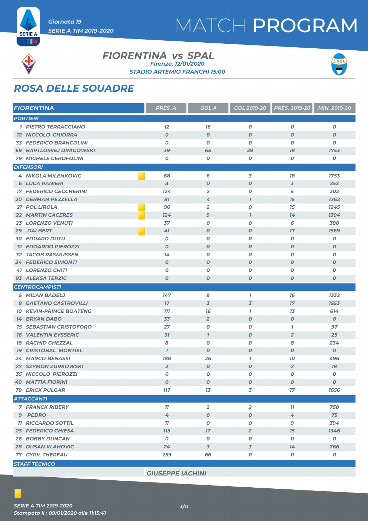



**SERIE A ETM** 

#### **FIORENTINA vs SPAL** *STADIO ARTEMIO FRANCHI 15:00 Firenze, 12/01/2020*



## *ROSA DELLE SQUADRE*

| <b>FIORENTINA</b>                 | PRES. A          | <b>GOL A</b>             | <b>GOL 2019-20</b>       | <b>PRES. 2019-20</b> | MIN. 2019-20     |
|-----------------------------------|------------------|--------------------------|--------------------------|----------------------|------------------|
| <b>PORTIERI</b>                   |                  |                          |                          |                      |                  |
| <b>1 PIETRO TERRACCIANO</b>       | 12               | 16                       | $\boldsymbol{o}$         | $\boldsymbol{O}$     | O                |
| <b>12 NICCOLO' CHIORRA</b>        | $\boldsymbol{O}$ | $\boldsymbol{O}$         | $\boldsymbol{O}$         | $\boldsymbol{O}$     | $\boldsymbol{o}$ |
| <b>33 FEDERICO BRANCOLINI</b>     | $\boldsymbol{O}$ | $\boldsymbol{O}$         | $\boldsymbol{o}$         | $\boldsymbol{O}$     | O                |
| <b>69 BARTLOMIEJ DRAGOWSKI</b>    | 39               | 65                       | 29                       | 78                   | 1753             |
| <b>79 MICHELE CEROFOLINI</b>      | O                | 0                        | 0                        | 0                    | 0                |
| <b>DIFENSORI</b>                  |                  |                          |                          |                      |                  |
| <b>4 NIKOLA MILENKOVIC</b>        | 68               | 6                        | 3                        | 78                   | 1753             |
| <b>6 LUCA RANIERI</b>             | $\overline{3}$   | $\boldsymbol{0}$         | $\boldsymbol{O}$         | $\overline{3}$       | 252              |
| <b>17 FEDERICO CECCHERINI</b>     | 124              | $\overline{2}$           | 0                        | 5                    | 302              |
| <b>GERMAN PEZZELLA</b><br>20      | 81               | 4                        | $\boldsymbol{\eta}$      | 15                   | 1362             |
| 21 POL LIROLA                     | 96               | $\overline{2}$           | 0                        | 15                   | 1245             |
| <b>22 MARTIN CACERES</b>          | 124              | 9                        | $\overline{1}$           | 14                   | 1304             |
| <b>LORENZO VENUTI</b><br>23       | 37               | O                        | $\boldsymbol{o}$         | 6                    | 380              |
| <b>DALBERT</b><br>29              | 41               | $\boldsymbol{o}$         | $\boldsymbol{o}$         | 17                   | 1569             |
| <b>EDUARD DUTU</b><br>30          | $\boldsymbol{O}$ | 0                        | 0                        | 0                    | O                |
| <b>31 EDOARDO PIEROZZI</b>        | $\boldsymbol{O}$ | $\boldsymbol{O}$         | $\boldsymbol{0}$         | $\boldsymbol{O}$     | $\boldsymbol{o}$ |
| <b>32 JACOB RASMUSSEN</b>         | 14               | $\boldsymbol{O}$         | 0                        | $\boldsymbol{O}$     | O                |
| <b>34 FEDERICO SIMONTI</b>        | $\boldsymbol{O}$ | $\boldsymbol{O}$         | $\boldsymbol{0}$         | $\boldsymbol{O}$     | $\boldsymbol{o}$ |
| <b>41 LORENZO CHITI</b>           | O                | 0                        | 0                        | 0                    | O                |
| 93 ALEKSA TERZIC                  | $\boldsymbol{O}$ | $\boldsymbol{O}$         | $\boldsymbol{o}$         | $\boldsymbol{O}$     | $\boldsymbol{o}$ |
| <b>CENTROCAMPISTI</b>             |                  |                          |                          |                      |                  |
| 5 MILAN BADELJ                    | 147              | 8                        | $\bf{7}$                 | 76                   | 1332             |
| 8 GAETANO CASTROVILLI             | 17               | $\overline{3}$           | $\overline{\mathcal{Z}}$ | 17                   | 1553             |
| <b>KEVIN-PRINCE BOATENG</b><br>10 | 777              | 16                       | 1                        | 13                   | 614              |
| <b>14 BRYAN DABO</b>              | 33               | $\overline{2}$           | $\boldsymbol{o}$         | $\boldsymbol{o}$     | $\boldsymbol{o}$ |
| <b>15 SEBASTIAN CRISTOFORO</b>    | 27               | O                        | $\boldsymbol{0}$         | $\mathbf{7}$         | 97               |
| <b>16 VALENTIN EYSSERIC</b>       | 31               | $\mathbf{I}$             | $\boldsymbol{0}$         | $\overline{2}$       | 25               |
| <b>RACHID GHEZZAL</b><br>18       | 8                | 0                        | 0                        | 8                    | 234              |
| <b>CRISTOBAL MONTIEL</b><br>79    | $\overline{1}$   | $\boldsymbol{O}$         | $\boldsymbol{O}$         | $\boldsymbol{O}$     | $\boldsymbol{o}$ |
| 24 MARCO BENASSI                  | 188              | 26                       | $\overline{1}$           | 10                   | 496              |
| <b>27 SZYMON ZURKOWSKI</b>        | $\overline{2}$   | $\boldsymbol{o}$         | $\boldsymbol{o}$         | $\overline{2}$       | 18               |
| <b>35 NICCOLO' PIEROZZI</b>       | O                | O                        | 0                        | $\boldsymbol{o}$     | O                |
| <b>40 MATTIA FIORINI</b>          | 0                | 0                        | 0                        | 0                    | 0                |
| <b>78 ERICK PULGAR</b>            | <b>117</b>       | 13                       | 3                        | $17\,$               | 1656             |
| <b>ATTACCANTI</b>                 |                  |                          |                          |                      |                  |
| <b>7 FRANCK RIBERY</b>            | 11               | $\overline{2}$           | $\overline{2}$           | 11                   | 750              |
| 9 PEDRO                           | 4                | $\boldsymbol{O}$         | $\boldsymbol{O}$         | 4                    | 75               |
| <b>11 RICCARDO SOTTIL</b>         | 11               | $\pmb{o}$                | 0                        | 9                    | 394              |
| <b>25 FEDERICO CHIESA</b>         | <b>115</b>       | 17                       | $\overline{2}$           | 15                   | 1346             |
| <b>26 BOBBY DUNCAN</b>            | $\boldsymbol{o}$ | O                        | 0                        | 0                    | $\boldsymbol{o}$ |
| <b>28 DUSAN VLAHOVIC</b>          | 24               | $\overline{\mathcal{S}}$ | $\overline{3}$           | 14                   | 766              |
| <b>77 CYRIL THEREAU</b>           | 259              | 66                       | 0                        | $\pmb{o}$            | $\pmb{o}$        |
| <b>STAFF TECNICO</b>              |                  |                          |                          |                      |                  |

*GIUSEPPE IACHINI*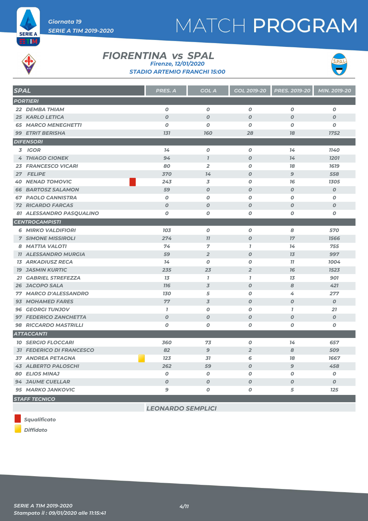



**SERIE A ETIM** 

#### **FIORENTINA vs SPAL** *STADIO ARTEMIO FRANCHI 15:00 Firenze, 12/01/2020*



| <b>SPAL</b> |                                 | <b>PRES. A</b>   | <b>GOL A</b>     | GOL 2019-20      | <b>PRES. 2019-20</b> | MIN. 2019-20     |
|-------------|---------------------------------|------------------|------------------|------------------|----------------------|------------------|
|             | <b>PORTIERI</b>                 |                  |                  |                  |                      |                  |
|             | 22 DEMBA THIAM                  | $\boldsymbol{o}$ | $\boldsymbol{0}$ | 0                | O                    | 0                |
|             | <b>25 KARLO LETICA</b>          | $\overline{O}$   | $\overline{O}$   | $\boldsymbol{O}$ | $\boldsymbol{O}$     | $\boldsymbol{O}$ |
|             | <b>65 MARCO MENEGHETTI</b>      | $\boldsymbol{0}$ | $\boldsymbol{0}$ | 0                | 0                    | 0                |
|             | <b>99 ETRIT BERISHA</b>         | 131              | <b>160</b>       | 28               | 78                   | 1752             |
|             | <b>DIFENSORI</b>                |                  |                  |                  |                      |                  |
|             | 3 IGOR                          | 14               | $\boldsymbol{O}$ | $\boldsymbol{o}$ | 14                   | <b>1140</b>      |
|             | <b>4 THIAGO CIONEK</b>          | 94               | $\mathbf{I}$     | $\boldsymbol{O}$ | 74                   | 1201             |
|             | <b>23 FRANCESCO VICARI</b>      | 80               | $\overline{2}$   | $\boldsymbol{O}$ | 78                   | 1619             |
|             | 27 FELIPE                       | 370              | 14               | $\boldsymbol{O}$ | 9                    | 558              |
|             | <b>40 NENAD TOMOVIC</b>         | 243              | 3                | $\boldsymbol{O}$ | 76                   | 1305             |
|             | <b>66 BARTOSZ SALAMON</b>       | 59               | $\boldsymbol{O}$ | $\boldsymbol{O}$ | $\boldsymbol{O}$     | $\boldsymbol{0}$ |
|             | <b>67 PAOLO CANNISTRA</b>       | $\boldsymbol{0}$ | $\boldsymbol{0}$ | $\boldsymbol{O}$ | $\boldsymbol{O}$     | $\boldsymbol{o}$ |
|             | <b>72 RICARDO FARCAS</b>        | $\boldsymbol{O}$ | $\boldsymbol{O}$ | $\boldsymbol{O}$ | $\boldsymbol{O}$     | $\boldsymbol{O}$ |
|             | 81 ALESSANDRO PASQUALINO        | 0                | $\boldsymbol{O}$ | $\boldsymbol{o}$ | O                    | 0                |
|             | <b>CENTROCAMPISTI</b>           |                  |                  |                  |                      |                  |
|             | <b>6 MIRKO VALDIFIORI</b>       | 103              | $\boldsymbol{o}$ | $\boldsymbol{o}$ | 8                    | 570              |
|             | <b>7 SIMONE MISSIROLI</b>       | 274              | 77               | $\boldsymbol{O}$ | 17                   | 1566             |
|             | 8 MATTIA VALOTI                 | 74               | $\overline{7}$   | $\overline{1}$   | 14                   | 755              |
|             | <b>11 ALESSANDRO MURGIA</b>     | 59               | $\overline{2}$   | $\boldsymbol{O}$ | 13                   | 997              |
|             | <b>13 ARKADIUSZ RECA</b>        | 14               | $\boldsymbol{O}$ | $\boldsymbol{o}$ | 11                   | 1004             |
|             | <b>19 JASMIN KURTIC</b>         | 235              | 23               | $\overline{2}$   | 76                   | 1523             |
|             | 21 GABRIEL STREFEZZA            | 13               | $\mathbf{I}$     | $\mathbf{I}$     | 13                   | 901              |
|             | 26 JACOPO SALA                  | <b>716</b>       | $\overline{3}$   | $\boldsymbol{O}$ | 8                    | 421              |
|             | 77 MARCO D'ALESSANDRO           | <b>130</b>       | 5                | 0                | 4                    | 277              |
|             | <b>93 MOHAMED FARES</b>         | 77               | $\overline{3}$   | $\boldsymbol{O}$ | $\boldsymbol{O}$     | $\boldsymbol{0}$ |
|             | <b>96 GEORGI TUNJOV</b>         | $\mathbf{I}$     | $\boldsymbol{O}$ | $\boldsymbol{O}$ | $\overline{1}$       | 21               |
|             | <b>97 FEDERICO ZANCHETTA</b>    | $\boldsymbol{O}$ | $\boldsymbol{0}$ | $\boldsymbol{O}$ | $\boldsymbol{O}$     | $\boldsymbol{0}$ |
|             | 98 RICCARDO MASTRILLI           | 0                | 0                | 0                | O                    | 0                |
|             | <b>ATTACCANTI</b>               |                  |                  |                  |                      |                  |
|             | <b>10 SERGIO FLOCCARI</b>       | 360              | 73               | $\boldsymbol{O}$ | 14                   | 657              |
|             | <b>31 FEDERICO DI FRANCESCO</b> | 82               | $\overline{9}$   | $\overline{2}$   | 8                    | 509              |
|             | <b>37 ANDREA PETAGNA</b>        | 12 <sub>3</sub>  | 31               | 6                | 18                   | 1667             |
|             | <b>43 ALBERTO PALOSCHI</b>      | 262              | 59               | $\boldsymbol{O}$ | 9                    | 458              |
|             | <b>80 ELIOS MINAJ</b>           | $\boldsymbol{0}$ | $\boldsymbol{0}$ | $\boldsymbol{O}$ | $\boldsymbol{O}$     | $\boldsymbol{0}$ |
|             | <b>94 JAUME CUELLAR</b>         | $\boldsymbol{O}$ | $\boldsymbol{O}$ | $\boldsymbol{O}$ | $\boldsymbol{O}$     | $\boldsymbol{0}$ |
|             | <b>95 MARKO JANKOVIC</b>        | 9                | $\boldsymbol{O}$ | $\boldsymbol{O}$ | 5                    | 125              |
|             | ____________                    |                  |                  |                  |                      |                  |

*STAFF TECNICO*

*LEONARDO SEMPLICI*

*Squalificato*

*Diffidato*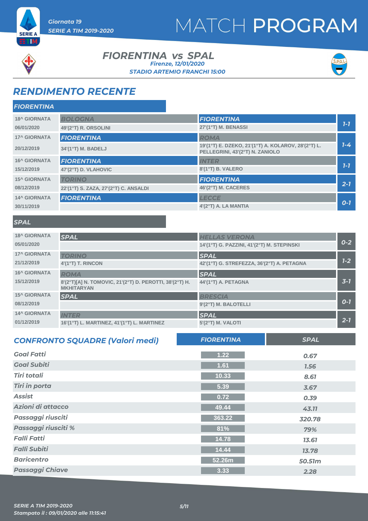



ETM

#### **FIORENTINA vs SPAL** *STADIO ARTEMIO FRANCHI 15:00 Firenze, 12/01/2020*



### *RENDIMENTO RECENTE*

| <b>FIORENTINA</b>   |                                       |                                                                                        |         |
|---------------------|---------------------------------------|----------------------------------------------------------------------------------------|---------|
| <b>18^ GIORNATA</b> | <b>BOLOGNA</b>                        | <b>FIORENTINA</b>                                                                      |         |
| 06/01/2020          | 49'(2°T) R. ORSOLINI                  | 27'(1°T) M. BENASSI                                                                    | $7 - 7$ |
| <b>17^ GIORNATA</b> | <b>FIORENTINA</b>                     | <b>ROMA</b>                                                                            |         |
| 20/12/2019          | 34'(1°T) M. BADELJ                    | 19'(1°T) E. DZEKO, 21'(1°T) A. KOLAROV, 28'(2°T) L.<br>PELLEGRINI, 43'(2°T) N. ZANIOLO | $1 - 4$ |
| <b>16^ GIORNATA</b> | <b>FIORENTINA</b>                     | <b>INTER</b>                                                                           |         |
| 15/12/2019          | 47'(2°T) D. VLAHOVIC                  | 8'(1°T) B. VALERO                                                                      | $7 - 7$ |
| <b>15^ GIORNATA</b> | <b>TORINO</b>                         | <b>FIORENTINA</b>                                                                      |         |
| 08/12/2019          | 22'(1°T) S. ZAZA, 27'(2°T) C. ANSALDI | 46'(2°T) M. CACERES                                                                    | $2 - 7$ |
| <b>14^ GIORNATA</b> | <b>FIORENTINA</b>                     | <b>LECCE</b>                                                                           |         |
| 30/11/2019          |                                       | 4'(2°T) A. LA MANTIA                                                                   | $O-7$   |

#### *SPAL*

| <b>18^ GIORNATA</b> | <b>SPAL</b>                                                                  | <b>HELLAS VERONA</b>                       |         |
|---------------------|------------------------------------------------------------------------------|--------------------------------------------|---------|
| 05/01/2020          |                                                                              | 14'(1°T) G. PAZZINI, 41'(2°T) M. STEPINSKI | $0 - 2$ |
| <b>17^ GIORNATA</b> | <b>TORINO</b>                                                                | <b>SPAL</b>                                |         |
| 21/12/2019          | $4'(1^{\circ}T)$ T. RINCON                                                   | 42'(1°T) G. STREFEZZA, 36'(2°T) A. PETAGNA | $1 - 2$ |
| <b>16^ GIORNATA</b> | <b>ROMA</b>                                                                  | <b>SPAL</b>                                |         |
| 15/12/2019          | 8'(2°T)[A] N. TOMOVIC, 21'(2°T) D. PEROTTI, 38'(2°T) H.<br><b>MKHITARYAN</b> | 44'(1°T) A. PETAGNA                        | $3 - 7$ |
| <b>15^ GIORNATA</b> | <b>SPAL</b>                                                                  | <b>BRESCIA</b>                             |         |
| 08/12/2019          |                                                                              | 9'(2°T) M. BALOTELLI                       | $O - 7$ |
| <b>14^ GIORNATA</b> | <b>INTER</b>                                                                 | <b>SPAL</b>                                |         |
| 01/12/2019          | 16'(1°T) L. MARTINEZ, 41'(1°T) L. MARTINEZ                                   | 5'(2°T) M. VALOTI                          | $2 - 7$ |

| <b>CONFRONTO SQUADRE (Valori medi)</b> | <b>FIORENTINA</b> | <b>SPAL</b> |
|----------------------------------------|-------------------|-------------|
| <b>Goal Fatti</b>                      | 1.22              | 0.67        |
| <b>Goal Subiti</b>                     | 1.61              | 1.56        |
| <b>Tiri totali</b>                     | 10.33             | 8.61        |
| <b>Tiri in porta</b>                   | 5.39              | 3.67        |
| <b>Assist</b>                          | 0.72              | 0.39        |
| Azioni di attacco                      | 49.44             | 43.11       |
| Passaggi riusciti                      | 363.22            | 320.78      |
| Passaggi riusciti %                    | 81%               | 79%         |
| <b>Falli Fatti</b>                     | 14.78             | 13.61       |
| <b>Falli Subiti</b>                    | 14.44             | 13.78       |
| <b>Baricentro</b>                      | 52.26m            | 50.51m      |
| <b>Passaggi Chiave</b>                 | 3.33              | 2.28        |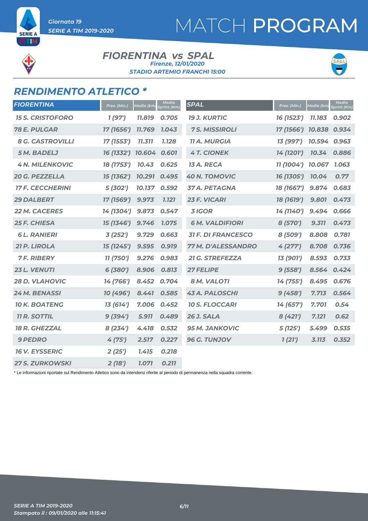## **SERIE A** ETIM

#### **FIORENTINA vs SPAL** *STADIO ARTEMIO FRANCHI 15:00 Firenze, 12/01/2020*



### *RENDIMENTO ATLETICO \**

*SERIE A TIM 2019-2020*

*Giornata 19* 

| <b>FIORENTINA</b>       | Pres. (Min.) | Media (km, | <b>Media</b><br>Sprint (Km) | <b>SPAL</b>               | Pres. (Min.) | Media (km)   | <b>Media</b><br>Sprint (Km) |
|-------------------------|--------------|------------|-----------------------------|---------------------------|--------------|--------------|-----------------------------|
| <b>15 S. CRISTOFORO</b> | 1(97)        | 11.819     | 0.705                       | <b>19 J. KURTIC</b>       | 16 (1523')   | 11.183       | 0.902                       |
| <b>78 E. PULGAR</b>     | 17 (1656')   | 11.769     | 1.043                       | <b>7 S. MISSIROLI</b>     | 17 (1566')   | 10.838 0.934 |                             |
| <b>8 G. CASTROVILLI</b> | 17 (1553')   | 11.311     | 1.128                       | <b>11 A. MURGIA</b>       | 13 (997')    | 10.594       | 0.963                       |
| <b>5 M. BADELJ</b>      | 16 (1332')   | 10.604     | 0.601                       | <b>4 T. CIONEK</b>        | 14 (1201')   | 10.34        | 0.886                       |
| <b>4 N. MILENKOVIC</b>  | 18 (1753')   | 10.43      | 0.625                       | 13 A. RECA                | 11 (1004')   | 10.067       | 1.063                       |
| 20 G. PEZZELLA          | 15 (1362')   | 10.291     | 0.495                       | <b>40 N. TOMOVIC</b>      | 16 (1305')   | 10.04        | 0.77                        |
| <b>17 F. CECCHERINI</b> | 5 (302')     | 10.137     | 0.592                       | 37 A. PETAGNA             | 18 (1667')   | 9.874        | 0.683                       |
| <b>29 DALBERT</b>       | 17 (1569')   | 9.973      | <b>1.121</b>                | 23 F. VICARI              | 18 (1619')   | 9.801        | 0.473                       |
| <b>22 M. CACERES</b>    | 14 (1304')   | 9.873      | 0.547                       | <b>3 IGOR</b>             | 14 (1140')   | 9.494        | 0.666                       |
| <b>25 F. CHIESA</b>     | 15 (1346')   | 9.746      | 1.075                       | <b>6 M. VALDIFIORI</b>    | 8 (570')     | 9.311        | 0.473                       |
| <b>6L. RANIERI</b>      | 3(252')      | 9.729      | 0.663                       | <b>31 F. DI FRANCESCO</b> | 8 (509')     | 8.808        | 0.781                       |
| 21 P. LIROLA            | 15 (1245')   | 9.595      | 0.919                       | <b>77 M. D'ALESSANDRO</b> | 4(277)       | 8.708        | 0.736                       |
| <b>7 F. RIBERY</b>      | 11 (750')    | 9.276      | 0.983                       | 21 G. STREFEZZA           | 13 (901')    | 8.593        | 0.733                       |
| 23 L. VENUTI            | 6 (380')     | 8.906      | 0.813                       | <b>27 FELIPE</b>          | 9(558')      | 8.564        | 0.424                       |
| <b>28 D. VLAHOVIC</b>   | 14 (766')    | 8.452      | 0.704                       | <b>8 M. VALOTI</b>        | 14 (755')    | 8.495        | 0.676                       |
| 24 M. BENASSI           | 10 (496')    | 8.441      | 0.585                       | <b>43 A. PALOSCHI</b>     | 9(458')      | 7.713        | 0.564                       |
| <b>10 K. BOATENG</b>    | 13 (614')    | 7.006      | 0.452                       | <b>10 S. FLOCCARI</b>     | 14 (657')    | 7.701        | 0.54                        |
| <b>11 R. SOTTIL</b>     | 9(394)       | 5.911      | 0.489                       | <b>26 J. SALA</b>         | 8 (421')     | 7.121        | 0.62                        |
| <b>18 R. GHEZZAL</b>    | 8(234')      | 4.418      | 0.532                       | <b>95 M. JANKOVIC</b>     | 5(125')      | 5.499        | 0.535                       |
| <b>9 PEDRO</b>          | 4(75')       | 2.517      | 0.227                       | 96 G. TUNJOV              | 1(21')       | 3.113        | 0.352                       |
| <b>16 V. EYSSERIC</b>   | 2(25')       | 1.415      | 0.218                       |                           |              |              |                             |
| <b>27 S. ZURKOWSKI</b>  | 2(18')       | 1.071      | 0.211                       |                           |              |              |                             |

\* Le informazioni riportate sul Rendimento Atletico sono da intendersi riferite al periodo di permanenza nella squadra corrente.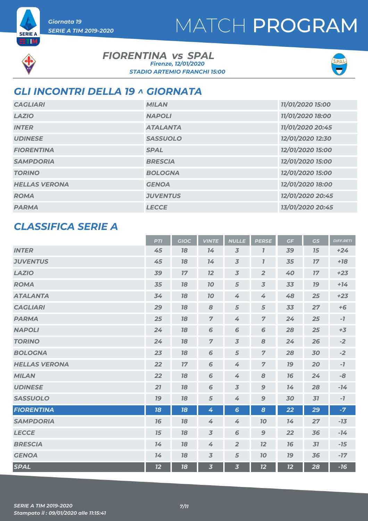



**SERIE A** ETIM

#### **FIORENTINA vs SPAL** *STADIO ARTEMIO FRANCHI 15:00 Firenze, 12/01/2020*



### *GLI INCONTRI DELLA 19 ^ GIORNATA*

| <b>CAGLIARI</b>      | <b>MILAN</b>    | 11/01/2020 15:00 |
|----------------------|-----------------|------------------|
| <b>LAZIO</b>         | <b>NAPOLI</b>   | 11/01/2020 18:00 |
| <b>INTER</b>         | <b>ATALANTA</b> | 11/01/2020 20:45 |
| <b>UDINESE</b>       | <b>SASSUOLO</b> | 12/01/2020 12:30 |
| <b>FIORENTINA</b>    | <b>SPAL</b>     | 12/01/2020 15:00 |
| <b>SAMPDORIA</b>     | <b>BRESCIA</b>  | 12/01/2020 15:00 |
| <b>TORINO</b>        | <b>BOLOGNA</b>  | 12/01/2020 15:00 |
| <b>HELLAS VERONA</b> | <b>GENOA</b>    | 12/01/2020 18:00 |
| <b>ROMA</b>          | <b>JUVENTUS</b> | 12/01/2020 20:45 |
| <b>PARMA</b>         | <b>LECCE</b>    | 13/01/2020 20:45 |

### *CLASSIFICA SERIE A*

|                      | <b>PTI</b> | <b>GIOC</b> | <b>VINTE</b>            | <b>NULLE</b>             | <b>PERSE</b>     | GF | <b>GS</b> | <b>DIFF.RETI</b> |
|----------------------|------------|-------------|-------------------------|--------------------------|------------------|----|-----------|------------------|
| <b>INTER</b>         | 45         | 78          | 14                      | $\overline{3}$           | $\overline{I}$   | 39 | 15        | $+24$            |
| <b>JUVENTUS</b>      | 45         | 78          | 14                      | $\overline{3}$           | $\mathbf{7}$     | 35 | 17        | $+18$            |
| <b>LAZIO</b>         | 39         | 17          | 12                      | $\overline{\mathcal{S}}$ | $\overline{2}$   | 40 | 17        | $+23$            |
| <b>ROMA</b>          | 35         | 18          | 10                      | 5                        | $\overline{3}$   | 33 | 19        | $+14$            |
| <b>ATALANTA</b>      | 34         | 78          | 70                      | 4                        | 4                | 48 | 25        | $+23$            |
| <b>CAGLIARI</b>      | 29         | 18          | 8                       | 5                        | 5                | 33 | 27        | $+6$             |
| <b>PARMA</b>         | 25         | 18          | $\overline{7}$          | 4                        | $\overline{7}$   | 24 | 25        | $-7$             |
| <b>NAPOLI</b>        | 24         | 78          | 6                       | 6                        | 6                | 28 | 25        | $+3$             |
| <b>TORINO</b>        | 24         | 18          | $\overline{z}$          | $\overline{3}$           | 8                | 24 | 26        | $-2$             |
| <b>BOLOGNA</b>       | 23         | 78          | $\sqrt{6}$              | 5                        | $\overline{z}$   | 28 | 30        | $-2$             |
| <b>HELLAS VERONA</b> | 22         | 17          | 6                       | 4                        | $\overline{7}$   | 79 | 20        | $\mathcal{I}$    |
| <b>MILAN</b>         | 22         | 18          | 6                       | 4                        | 8                | 76 | 24        | $-8$             |
| <b>UDINESE</b>       | 21         | 18          | $\sqrt{6}$              | $\overline{3}$           | $\boldsymbol{9}$ | 14 | 28        | $-14$            |
| <b>SASSUOLO</b>      | 19         | 18          | 5                       | 4                        | $\boldsymbol{9}$ | 30 | 31        | $-7$             |
| <b>FIORENTINA</b>    | 18         | 18          | 4                       | $6\overline{6}$          | 8                | 22 | 29        | $-7$             |
| <b>SAMPDORIA</b>     | 76         | 18          | 4                       | 4                        | 70               | 74 | 27        | $-13$            |
| <b>LECCE</b>         | 15         | 78          | $\overline{3}$          | 6                        | $\mathbf 9$      | 22 | 36        | $-14$            |
| <b>BRESCIA</b>       | 14         | 18          | 4                       | $\overline{2}$           | 12               | 16 | 31        | $-15$            |
| <b>GENOA</b>         | 14         | 78          | $\overline{3}$          | 5                        | 70               | 79 | 36        | $-17$            |
| <b>SPAL</b>          | 12         | 18          | $\overline{\mathbf{3}}$ | $\overline{\mathbf{3}}$  | 12               | 12 | 28        | $-16$            |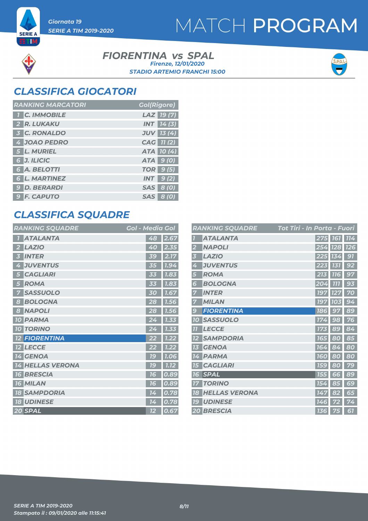



**SERIE A** ETM

> **FIORENTINA vs SPAL** *STADIO ARTEMIO FRANCHI 15:00 Firenze, 12/01/2020*



### *CLASSIFICA GIOCATORI*

| <b>RANKING MARCATORI</b> | <b>Gol(Rigore)</b> |
|--------------------------|--------------------|
| <b>1 C. IMMOBILE</b>     | LAZ 19(7)          |
| 2 R. LUKAKU              | <b>INT</b> 14(3)   |
| <b>3 C. RONALDO</b>      | <b>JUV</b> 13 (4)  |
| 4 JOAO PEDRO             | CAG 11(2)          |
| 5 L. MURIEL              | ATA 10(4)          |
| 6 J. ILICIC              | ATA 9 (0)          |
| 6 A. BELOTTI             | <b>TOR</b> 9 (5)   |
| <b>6 L. MARTINEZ</b>     | $INT$ 9(2)         |
| <b>9 D. BERARDI</b>      | SAS 8 (0)          |
| <b>9 F. CAPUTO</b>       | SAS 8 (0)          |

### *CLASSIFICA SQUADRE*

| <b>RANKING SQUADRE</b> | <b>Gol - Media Gol</b> |
|------------------------|------------------------|
| <b>ATALANTA</b>        | 48<br>2.67             |
| <b>LAZIO</b>           | 2.35                   |
| 2                      | 40                     |
| <b>INTER</b>           | 2.17<br><b>39</b>      |
| <b>JUVENTUS</b>        | 1.94                   |
| 4                      | 35                     |
| <b>CAGLIARI</b>        | 1.83                   |
| 5                      | 33                     |
| <b>ROMA</b>            | 1.83                   |
| 5                      | 33                     |
| <b>SASSUOLO</b>        | 1.67                   |
| 7                      | 30                     |
| <b>BOLOGNA</b>         | 28                     |
| 8                      | 1.56                   |
| <b>NAPOLI</b>          | 28                     |
| 8                      | 1.56                   |
| <b>PARMA</b>           | 1.33                   |
| <b>10</b>              | 24                     |
| <b>TORINO</b>          | 1.33                   |
| <b>10</b>              | 24                     |
| <b>FIORENTINA</b>      | 1.22                   |
| <b>12 LECCE</b>        | 1.22<br>22             |
| 14 GENOA               | <b>79</b><br>1.06      |
| <b>HELLAS VERONA</b>   | 1C                     |
| 14                     | 1.12                   |
| <b>BRESCIA</b>         | 0.89                   |
| <b>76</b>              | 16                     |
| <b>16 MILAN</b>        | 0.89<br>76             |
| <b>SAMPDORIA</b>       | 0.78                   |
| 18                     | 14                     |
| <b>18 UDINESE</b>      | 0.78<br>14             |
| 20 SPAL                | 0.67<br>12             |

|                  | <b>RANKING SQUADRE</b> | <b>Tot Tiri - In Porta - Fuori</b> |            |            |
|------------------|------------------------|------------------------------------|------------|------------|
|                  | <b>ATALANTA</b>        | 275 161                            |            | <b>114</b> |
|                  | <b>NAPOLI</b>          | 254                                | <b>128</b> | <b>126</b> |
| 3                | <b>LAZIO</b>           | 225                                | 134        | 91         |
| 4                | <b>JUVENTUS</b>        | 223                                | 131        | 92         |
| 5                | <b>ROMA</b>            | 213                                | <b>116</b> | 97         |
| 6                | <b>BOLOGNA</b>         | 204                                | 777        | 93         |
|                  | <b>INTER</b>           | 197                                | 127        | 70         |
|                  | <b>MILAN</b>           | <b>197</b>                         | 103        | 94         |
| $\boldsymbol{g}$ | <b>FIORENTINA</b>      | 186                                | 97         | 89         |
| 10               | <b>SASSUOLO</b>        | 174                                | 98         | 76         |
| $\overline{1}$   | <b>LECCE</b>           | 173                                | 89         | 84         |
|                  | <b>SAMPDORIA</b>       | <b>165</b>                         | 80         | 85         |
| 13               | <b>GENOA</b>           | 164                                | 84<br>4    | 80         |
| 14               | <b>PARMA</b>           | <b>160</b>                         | 80         | 80         |
| 75               | <b>CAGLIARI</b>        | <b>159</b>                         | 80         | 79         |
| 16               | <b>SPAL</b>            | 155                                | 66         | 89         |
|                  | <b>TORINO</b>          | 154                                | 85         | 69         |
| 18               | <b>HELLAS VERONA</b>   | 147                                | 82         | 65         |
| <b>19</b>        | <b>UDINESE</b>         | 146                                | 72         | 74         |
|                  | <b>20 BRESCIA</b>      | <b>136</b>                         | 75         | 61         |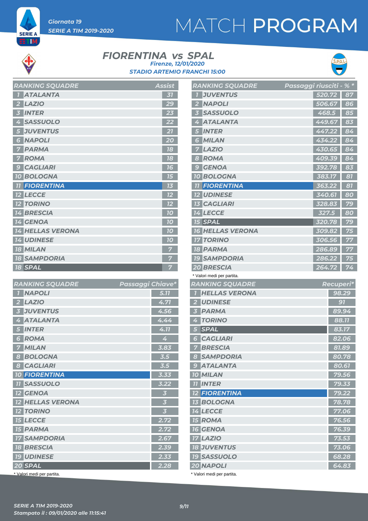

*Giornata 19* 

*SERIE A TIM 2019-2020*

#### **FIORENTINA vs SPAL** *STADIO ARTEMIO FRANCHI 15:00 Firenze, 12/01/2020*



| <b>RANKING SQUADRE</b>   | <b>Assist</b> |
|--------------------------|---------------|
| <b>ATALANTA</b><br>7     | 31            |
| <b>LAZIO</b>             | 29            |
| <b>INTER</b><br>3        | 23            |
| <b>SASSUOLO</b><br>4     | 22            |
| <b>JUVENTUS</b><br>5     | 21            |
| <b>NAPOLI</b><br>6       | 20            |
| <b>PARMA</b>             | 18            |
| <b>ROMA</b>              | 18            |
| <b>CAGLIARI</b><br>9     | 16            |
| <b>10 BOLOGNA</b>        | 15            |
| <b>11 FIORENTINA</b>     | 73            |
| <b>12 LECCE</b>          | 12            |
| <b>TORINO</b><br>$12 \,$ | 12            |
| <b>14 BRESCIA</b>        | 70            |
| <b>14 GENOA</b>          | 10            |
| <b>14 HELLAS VERONA</b>  | 10            |
| <b>14 UDINESE</b>        | 10            |
| <b>18 MILAN</b>          | 7             |
| <b>18 SAMPDORIA</b>      |               |
| <b>18 SPAL</b>           | 7             |

| <b>RANKING SQUADRE</b>                  | Passaggi Chiave*        |
|-----------------------------------------|-------------------------|
| <b>NAPOLI</b>                           | 5.77                    |
| <b>LAZIO</b><br>$\overline{\mathbf{2}}$ | 4.71                    |
| <b>JUVENTUS</b><br>3                    | 4.56                    |
| <b>ATALANTA</b><br>4                    | 4.44                    |
| <b>INTER</b><br>5                       | 4.77                    |
| <b>ROMA</b><br>$\mathbf{\Theta}$        | 4                       |
| <b>MILAN</b><br>7                       | 3.83                    |
| <b>BOLOGNA</b><br>8                     | 3.5                     |
| <b>CAGLIARI</b><br>$\boldsymbol{8}$     | 3.5                     |
| <b>10 FIORENTINA</b>                    | 3.33                    |
| <b>11 SASSUOLO</b>                      | 3.22                    |
| <b>12 GENOA</b>                         | $\overline{\mathbf{3}}$ |
| <b>12 HELLAS VERONA</b>                 | $\overline{\mathbf{3}}$ |
| <b>12 TORINO</b>                        | $\overline{\mathbf{3}}$ |
| <b>15 LECCE</b>                         | 2.72                    |
| <b>15 PARMA</b>                         | 2.72                    |
| <b>17 SAMPDORIA</b>                     | 2.67                    |
| <b>18 BRESCIA</b>                       | 2.39                    |
| <b>19 UDINESE</b>                       | 2.33                    |
| 20 SPAL                                 | 2.28                    |

|                | <b>RANKING SQUADRE</b>     | Passaggi riusciti - |        | $\frac{1}{8}$ * |
|----------------|----------------------------|---------------------|--------|-----------------|
| 7              | <b>JUVENTUS</b>            |                     | 520.72 | 87              |
| 2              | <b>NAPOLI</b>              |                     | 506.67 | 86              |
| 3              | <b>SASSUOLO</b>            |                     | 468.5  | 85              |
| $\Delta$       | <b>ATALANTA</b>            |                     | 449.67 | 83              |
| 5              | <b>INTER</b>               |                     | 447.22 | 84              |
| 6              | <b>MILAN</b>               |                     | 434.22 | 84              |
| 7              | <b>LAZIO</b>               |                     | 430.65 | 84              |
|                | 8 ROMA                     |                     | 409.39 | 84              |
| 9              | <b>GENOA</b>               |                     | 392.78 | 83              |
|                | <b>10 BOLOGNA</b>          |                     | 383.17 | 81              |
|                | <b>11 FIORENTINA</b>       |                     | 363.22 | 81              |
|                | <b>12 UDINESE</b>          |                     | 340.61 | 80              |
|                | <b>13 CAGLIARI</b>         |                     | 328.83 | 79              |
|                | <b>14 LECCE</b>            |                     | 327.5  | 80              |
|                | <b>15 SPAL</b>             |                     | 320.78 | 79              |
|                | <b>16 HELLAS VERONA</b>    |                     | 309.82 | 75              |
|                | <b>17 TORINO</b>           |                     | 306.56 | 77              |
|                | <b>18 PARMA</b>            |                     | 286.89 | 77              |
|                | <b>19 SAMPDORIA</b>        |                     | 286.22 | 75              |
|                | 20 BRESCIA                 |                     | 264.72 | 74              |
|                | * Valori medi per partita. |                     |        |                 |
|                | <b>RANKING SQUADRE</b>     |                     |        | Recuperi*       |
| 71             | <b>HELLAS VERONA</b>       |                     |        | 98.29           |
| 2 <sup>1</sup> | <b>UDINESE</b>             |                     |        | 91              |
| 3              | <b>PARMA</b>               |                     |        | 89.94           |
| 4              | <b>TORINO</b>              |                     |        | 88.77           |
| 5              | <b>SPAL</b>                |                     |        | 83.17           |
| 6 <sup>1</sup> | <b>CAGLIARI</b>            |                     |        | 82.06           |
|                | <b>7 BRESCIA</b>           |                     |        | 81.89           |
|                | <b>8 SAMPDORIA</b>         |                     |        | 80.78           |
|                | <b>9 ATALANTA</b>          |                     |        | 80.61           |
|                | <b>10 MILAN</b>            |                     |        | 79.56           |
|                | <b>TI INTER</b>            |                     |        | 79.33           |
|                | <b>12 FIORENTINA</b>       |                     |        | 79.22           |
|                | <b>13 BOLOGNA</b>          |                     |        | 78.78           |
|                | <b>14 LECCE</b>            |                     |        | 77.06           |
|                | <b>15 ROMA</b>             |                     |        | 76.56           |
|                | <b>16 GENOA</b>            |                     |        | 76.39           |
|                | <b>17 LAZIO</b>            |                     |        | 73.53           |
|                | <b>18 JUVENTUS</b>         |                     |        | 73.06           |
|                | <b>19 SASSUOLO</b>         |                     |        | 68.28           |

*NAPOLI 64.83*

Valori medi per partita.

\* Valori medi per partita.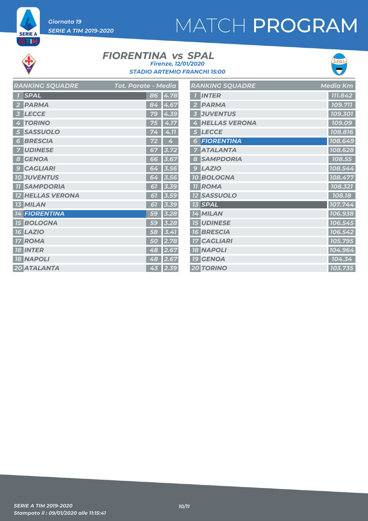*Giornata 19 SERIE A TIM 2019-2020*

# MATCH PROGRAM



**SERIE A ET M** 

#### **FIORENTINA vs SPAL** *STADIO ARTEMIO FRANCHI 15:00 Firenze, 12/01/2020*



| <b>RANKING SQUADRE</b>         | Tot. Parate - Media  | <b>RANKING SQUADRE</b> | Media Km |
|--------------------------------|----------------------|------------------------|----------|
| <b>SPAL</b>                    | 86 4.78              | <b>1</b> INTER         | 111.842  |
| <b>PARMA</b><br>$\overline{2}$ | 84 4.67              | 2 PARMA                | 109.711  |
| <b>LECCE</b><br>$\overline{3}$ | 79 4.39              | <b>3 JUVENTUS</b>      | 109.301  |
| <b>TORINO</b><br>$\frac{1}{4}$ | 75 4.17              | 4 HELLAS VERONA        | 109.09   |
| 5 SASSUOLO                     | $74 \mid 4.11$       | 5 LECCE                | 108.816  |
| <b>6 BRESCIA</b>               | 72<br>$\overline{4}$ | <b>6 FIORENTINA</b>    | 108.649  |
| <b>UDINESE</b>                 | 67 3.72              | <b>7 ATALANTA</b>      | 108.628  |
| 8 GENOA                        | 66 3.67              | 8 SAMPDORIA            | 108.55   |
| <b>9 CAGLIARI</b>              | 64 3.56              | $9$ $LAZIO$            | 108.544  |
| <b>10 JUVENTUS</b>             | 64 3.56              | <b>10 BOLOGNA</b>      | 108.477  |
| <b>11 SAMPDORIA</b>            | $61$ 3.39            | <b>II ROMA</b>         | 108.321  |
| <b>12 HELLAS VERONA</b>        | $61$ 3.59            | <b>12 SASSUOLO</b>     | 108.18   |
| <b>13 MILAN</b>                | $61$ 3.39            | <b>13 SPAL</b>         | 107.744  |
| <b>14 FIORENTINA</b>           | 59 3.28              | 14 MILAN               | 106.938  |
| <b>15 BOLOGNA</b>              | $59$ 3.28            | <b>15 UDINESE</b>      | 106.545  |
| <b>16 LAZIO</b>                | $58 \mid 3.41$       | <b>16 BRESCIA</b>      | 106.542  |
| <b>17 ROMA</b>                 | 50 2.78              | <b>17 CAGLIARI</b>     | 105.795  |
| <b>18 INTER</b>                | 48 2.67              | <b>18 NAPOLI</b>       | 104.964  |
| <b>18 NAPOLI</b>               | 48 2.67              | <b>19 GENOA</b>        | 104.34   |
| 20 ATALANTA                    | $43 \mid 2.39$       | <b>20 TORINO</b>       | 103.735  |